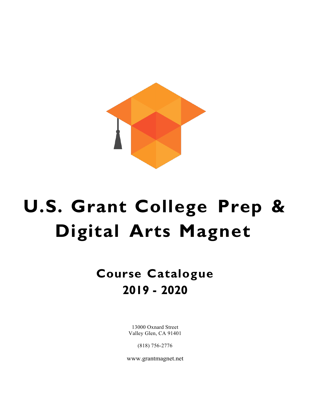

# **U.S. Grant College Prep & Digital Arts Magnet**

## **Course Catalogue 2019 - 2020**

13000 Oxnard Street Valley Glen, CA 91401

(818) 756-2776

www.grantmagnet.net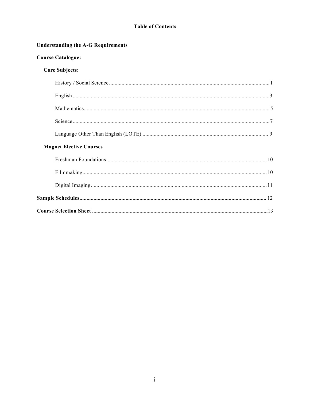#### **Table of Contents**

**Understanding the A-G Requirements** 

| <b>Course Catalogue:</b>       |
|--------------------------------|
| <b>Core Subjects:</b>          |
|                                |
|                                |
|                                |
|                                |
|                                |
| <b>Magnet Elective Courses</b> |
|                                |
|                                |
|                                |
|                                |
|                                |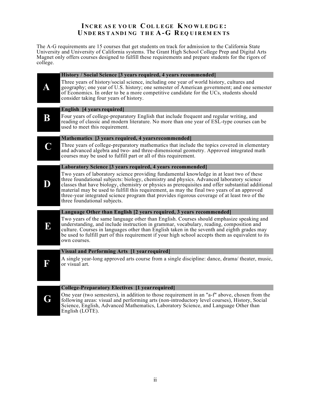#### **INCRE AS E YO UR C OL L E GE KNO W L E DG E : UNDE RS T ANDI NG T H E A-G REQ U I R EM EN TS**

The A-G requirements are 15 courses that get students on track for admission to the California State University and University of California systems. The Grant High School College Prep and Digital Arts Magnet only offers courses designed to fulfill these requirements and prepare students for the rigors of college.

|         | History / Social Science [3 years required, 4 years recommended]                                                                                                                                                                                                                                                                                                                                                                                                                                                         |
|---------|--------------------------------------------------------------------------------------------------------------------------------------------------------------------------------------------------------------------------------------------------------------------------------------------------------------------------------------------------------------------------------------------------------------------------------------------------------------------------------------------------------------------------|
|         | Three years of history/social science, including one year of world history, cultures and<br>geography; one year of U.S. history; one semester of American government; and one semester<br>of Economics. In order to be a more competitive candidate for the UCs, students should<br>consider taking four years of history.                                                                                                                                                                                               |
|         | English [4 years required]                                                                                                                                                                                                                                                                                                                                                                                                                                                                                               |
| $\bf B$ | Four years of college-preparatory English that include frequent and regular writing, and<br>reading of classic and modern literature. No more than one year of ESL-type courses can be<br>used to meet this requirement.                                                                                                                                                                                                                                                                                                 |
|         | Mathematics [3 years required, 4 years recommended]                                                                                                                                                                                                                                                                                                                                                                                                                                                                      |
|         | Three years of college-preparatory mathematics that include the topics covered in elementary<br>and advanced algebra and two- and three-dimensional geometry. Approved integrated math<br>courses may be used to fulfill part or all of this requirement.                                                                                                                                                                                                                                                                |
|         | Laboratory Science [3 years required, 4 years recommended]                                                                                                                                                                                                                                                                                                                                                                                                                                                               |
|         | Two years of laboratory science providing fundamental knowledge in at least two of these<br>three foundational subjects: biology, chemistry and physics. Advanced laboratory science<br>classes that have biology, chemistry or physics as prerequisites and offer substantial additional<br>material may be used to fulfill this requirement, as may the final two years of an approved<br>three-year integrated science program that provides rigorous coverage of at least two of the<br>three foundational subjects. |
|         | Language Other than English [2 years required, 3 years recommended]                                                                                                                                                                                                                                                                                                                                                                                                                                                      |
| $\bf E$ | Two years of the same language other than English. Courses should emphasize speaking and<br>understanding, and include instruction in grammar, vocabulary, reading, composition and<br>culture. Courses in languages other than English taken in the seventh and eighth grades may<br>be used to fulfill part of this requirement if your high school accepts them as equivalent to its<br>own courses.                                                                                                                  |
|         | Visual and Performing Arts [1 year required]                                                                                                                                                                                                                                                                                                                                                                                                                                                                             |
| h       | A single year-long approved arts course from a single discipline: dance, drama/ theater, music,<br>or visual art.                                                                                                                                                                                                                                                                                                                                                                                                        |
|         | College-Preparatory Electives [1 year required]                                                                                                                                                                                                                                                                                                                                                                                                                                                                          |
|         | One year (two semesters), in addition to those requirement in an "a-f" above, chosen from the                                                                                                                                                                                                                                                                                                                                                                                                                            |

following areas: visual and performing arts (non-introductory level courses), History, Social Science, English, Advanced Mathematics, Laboratory Science, and Language Other than English (LOTE). **G**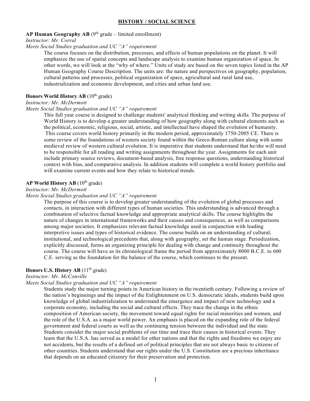#### **HISTORY / SOCIAL SCIENCE**

#### **AP Human Geography AB**  $(9<sup>th</sup> \text{ grade} - \text{limited enrollment})$

*Instructor: Mr. Corral*

*Meets Social Studies graduation and UC "A" requirement*

The course focuses on the distribution, processes, and effects of human populations on the planet. It will emphasize the use of spatial concepts and landscape analysis to examine human organization of space. In other words, we will look at the "why of where." Units of study are based on the seven topics listed in the AP Human Geography Course Description. The units are: the nature and perspectives on geography, population, cultural patterns and processes, political organization of space, agricultural and rural land use, industrialization and economic development, and cities and urban land use.

#### **Honors World History AB** (10<sup>th</sup> grade)

#### *Instructor: Mr. McDermott*

#### *Meets Social Studies graduation and UC "A" requirement*

This full year course is designed to challenge students' analytical thinking and writing skills. The purpose of World History is to develop a greater understanding of how geography along with cultural elements such as the political, economic, religious, social, artistic, and intellectual have shaped the evolution of humanity. This course covers world history primarily in the modern period, approximately 1750-2005 CE. There is some review of the foundations of western society found within the Greco-Roman culture along with some medieval review of western cultural evolution. It is imperative that students understand that he/she will need to be responsible for all reading and writing assignments throughout the year. Assignments for each unit include primary source reviews, document-based analysis, free response questions, understanding historical context with bias, and comparative analysis. In addition students will complete a world history portfolio and will examine current events and how they relate to historical trends.

#### AP World History AB (10<sup>th</sup> grade)

*Instructor: Mr. McDermott*

#### *Meets Social Studies graduation and UC "A" requirement*

The purpose of this course is to develop greater understanding of the evolution of global processes and contacts, in interaction with different types of human societies. This understanding is advanced through a combination of selective factual knowledge and appropriate analytical skills. The course highlights the nature of changes in international frameworks and their causes and consequences, as well as comparisons among major societies. It emphasizes relevant factual knowledge used in conjunction with leading interpretive issues and types of historical evidence. The course builds on an understanding of cultural, institutional, and technological precedents that, along with geography, set the human stage. Periodization, explicitly discussed, forms an organizing principle for dealing with change and continuity throughout the course. The course will have as its chronological frame the period from approximately 8000 B.C.E. to 600 C.E. serving as the foundation for the balance of the course, which continues to the present.

#### **Honors U.S. History AB** (11<sup>th</sup> grade)

*Instructor: Mr. McConville*

#### *Meets Social Studies graduation and UC "A" requirement*

Students study the major turning points in American history in the twentieth century. Following a review of the nation's beginnings and the impact of the Enlightenment on U.S. democratic ideals, students build upon knowledge of global industrialization to understand the emergence and impact of new technology and a corporate economy, including the social and cultural effects. They trace the change in the ethnic composition of American society, the movement toward equal rights for racial minorities and women, and the role of the U.S.A. as a major world power. An emphasis is placed on the expanding role of the federal government and federal courts as well as the continuing tension between the individual and the state. Students consider the major social problems of our time and trace their causes in historical events. They learn that the U.S.A. has served as a model for other nations and that the rights and freedoms we enjoy are not accidents, but the results of a defined set of political principles that are not always basic to citizens of other countries. Students understand that our rights under the U.S. Constitution are a precious inheritance that depends on an educated citizenry for their preservation and protection.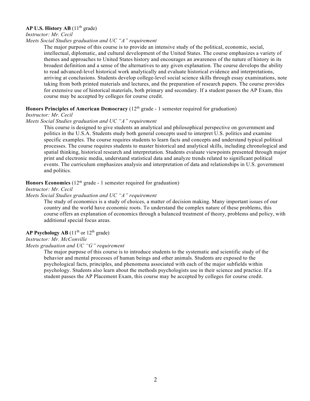#### **AP U.S. History AB**  $(11<sup>th</sup> \text{ grade})$

*Instructor: Mr. Cecil*

#### *Meets Social Studies graduation and UC "A" requirement*

The major purpose of this course is to provide an intensive study of the political, economic, social, intellectual, diplomatic, and cultural development of the United States. The course emphasizes a variety of themes and approaches to United States history and encourages an awareness of the nature of history in its broadest definition and a sense of the alternatives to any given explanation. The course develops the ability to read advanced-level historical work analytically and evaluate historical evidence and interpretations, arriving at conclusions. Students develop college-level social science skills through essay examinations, note taking from both printed materials and lectures, and the preparation of research papers. The course provides for extensive use of historical materials, both primary and secondary. If a student passes the AP Exam, this course may be accepted by colleges for course credit.

#### Honors Principles of American Democracy (12<sup>th</sup> grade - 1 semester required for graduation)

#### *Instructor: Mr. Cecil*

#### *Meets Social Studies graduation and UC "A" requirement*

This course is designed to give students an analytical and philosophical perspective on government and politics in the U.S.A. Students study both general concepts used to interpret U.S. politics and examine specific examples. The course requires students to learn facts and concepts and understand typical political processes. The course requires students to master historical and analytical skills, including chronological and spatial thinking, historical research and interpretation. Students evaluate viewpoints presented through major print and electronic media, understand statistical data and analyze trends related to significant political events. The curriculum emphasizes analysis and interpretation of data and relationships in U.S. government and politics.

#### Honors Economics (12<sup>th</sup> grade - 1 semester required for graduation)

#### *Instructor: Mr. Cecil*

#### *Meets Social Studies graduation and UC "A" requirement*

The study of economics is a study of choices, a matter of decision making. Many important issues of our country and the world have economic roots. To understand the complex nature of these problems, this course offers an explanation of economics through a balanced treatment of theory, problems and policy, with additional special focus areas.

#### **AP Psychology AB**  $(11<sup>th</sup>$  or  $12<sup>th</sup>$  grade)

*Instructor: Mr. McConville* 

#### *Meets graduation and UC "G" requirement*

The major purpose of this course is to introduce students to the systematic and scientific study of the behavior and mental processes of human beings and other animals. Students are exposed to the psychological facts, principles, and phenomena associated with each of the major subfields within psychology. Students also learn about the methods psychologists use in their science and practice. If a student passes the AP Placement Exam, this course may be accepted by colleges for course credit.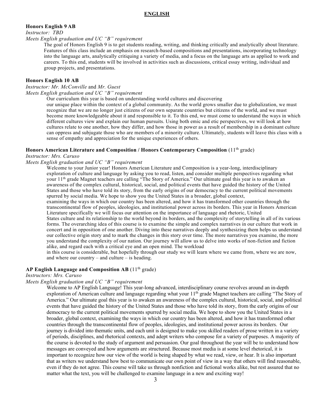#### **Honors English 9 AB**

#### *Instructor: TBD*

*Meets English graduation and UC "B" requirement*

The goal of Honors English 9 is to get students reading, writing, and thinking critically and analytically about literature. Features of this class include an emphasis on research-based compositions and presentations, incorporating technology into the language arts, analytically critiquing a variety of media, and a focus on the language arts as applied to work and careers. To this end, students will be involved in activities such as discussions, critical essay writing, individual and group projects, and presentations.

#### **Honors English 10 AB**

*Instructor: Mr. McConville* and *Mr. Guest*

*Meets English graduation and UC "B" requirement*

Our curriculum this year is based on understanding world cultures and discovering

our unique place within the context of a global community. As the world grows smaller due to globalization, we must recognize that we are no longer just citizens of our own separate countries but citizens of the world, and we must become more knowledgeable about it and responsible to it. To this end, we must come to understand the ways in which different cultures view and explain our human pursuits. Using both emic and etic perspectives, we will look at how cultures relate to one another, how they differ, and how those in power as a result of membership in a dominant culture can oppress and subjugate those who are members of a minority culture. Ultimately, students will leave this class with a sense of empathy and appreciation for the unique experiences of others.

#### Honors American Literature and Composition / Honors Contemporary Composition (11<sup>th</sup> grade)

#### *Instructor: Mrs. Caruso*

#### *Meets English graduation and UC "B" requirement*

Welcome to your Junior year! Honors American Literature and Composition is a year-long, interdisciplinary exploration of culture and language by asking you to read, listen, and consider multiple perspectives regarding what your 11th grade Magnet teachers are calling "The Story of America." Our ultimate goal this year is to awaken an awareness of the complex cultural, historical, social, and political events that have guided the history of the United States and those who have told its story, from the early origins of our democracy to the current political movements spurred by social media. We hope to show you the United States in a broader, global context,

examining the ways in which our country has been altered, and how it has transformed other countries through the transcontinental flow of peoples, ideologies, and institutional power across its borders. This year in Honors American Literature specifically we will focus our attention on the importance of language and rhetoric, United

States culture and its relationship to the world beyond its borders, and the complexity of storytelling in all of its various forms. The overarching idea of this course is to examine the simple and complex narratives in our culture that work in concert and in opposition of one another. Diving into these narratives deeply and synthesizing them helps us understand our collective origin story and to mark the changes in this story over time. The more narratives you examine, the more you understand the complexity of our nation. Our journey will allow us to delve into works of non-fiction and fiction alike, and regard each with a critical eye and an open mind. The workload

in this course is considerable, but hopefully through our study we will learn where we came from, where we are now, and where our country – and culture – is heading.

#### AP English Language and Composition AB (11<sup>th</sup> grade)

#### *Instructors: Mrs. Caruso*

#### *Meets English graduation and UC "B" requirement*

Welcome to AP English Language! This year-long advanced, interdisciplinary course revolves around an in-depth exploration of American culture and language regarding what your 11<sup>th</sup> grade Magnet teachers are calling "The Story of America." Our ultimate goal this year is to awaken an awareness of the complex cultural, historical, social, and political events that have guided the history of the United States and those who have told its story, from the early origins of our democracy to the current political movements spurred by social media. We hope to show you the United States in a broader, global context, examining the ways in which our country has been altered, and how it has transformed other countries through the transcontinental flow of peoples, ideologies, and institutional power across its borders. Our journey is divided into thematic units, and each unit is designed to make you skilled readers of prose written in a variety of periods, disciplines, and rhetorical contexts, and adept writers who compose for a variety of purposes. A majority of the course is devoted to the study of argument and persuasion. Our goal throughout the year will be to understand how messages are conveyed and how arguments are structured. Because most media is at some level rhetorical, it is important to recognize how our view of the world is being shaped by what we read, view, or hear. It is also important that as writers we understand how best to communicate our own point of view in a way that others will find reasonable, even if they do not agree. This course will take us through nonfiction and fictional works alike, but rest assured that no matter what the text, you will be challenged to examine language in a new and exciting way!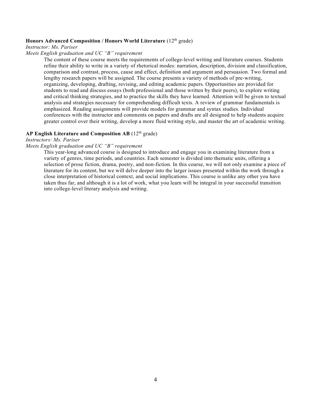#### **Honors Advanced Composition / Honors World Literature (12<sup>th</sup> grade)**

#### *Instructor: Ms. Pariser*

#### *Meets English graduation and UC "B" requirement*

The content of these course meets the requirements of college-level writing and literature courses. Students refine their ability to write in a variety of rhetorical modes: narration, description, division and classification, comparison and contrast, process, cause and effect, definition and argument and persuasion. Two formal and lengthy research papers will be assigned. The course presents a variety of methods of pre-writing, organizing, developing, drafting, revising, and editing academic papers. Opportunities are provided for students to read and discuss essays (both professional and those written by their peers), to explore writing and critical thinking strategies, and to practice the skills they have learned. Attention will be given to textual analysis and strategies necessary for comprehending difficult texts. A review of grammar fundamentals is emphasized. Reading assignments will provide models for grammar and syntax studies. Individual conferences with the instructor and comments on papers and drafts are all designed to help students acquire greater control over their writing, develop a more fluid writing style, and master the art of academic writing.

#### **AP English Literature and Composition AB** (12th grade)

#### *Instructors: Ms. Pariser*

#### *Meets English graduation and UC "B" requirement*

This year-long advanced course is designed to introduce and engage you in examining literature from a variety of genres, time periods, and countries. Each semester is divided into thematic units, offering a selection of prose fiction, drama, poetry, and non-fiction. In this course, we will not only examine a piece of literature for its content, but we will delve deeper into the larger issues presented within the work through a close interpretation of historical context, and social implications. This course is unlike any other you have taken thus far, and although it is a lot of work, what you learn will be integral in your successful transition into college-level literary analysis and writing.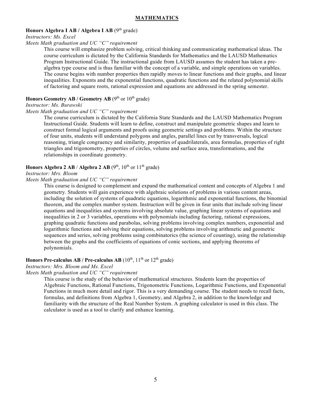#### **Honors Algebra I AB / Algebra I AB (9th grade)**

*Instructors: Ms. Excel*

#### *Meets Math graduation and UC "C" requirement*

This course will emphasize problem solving, critical thinking and communicating mathematical ideas. The course curriculum is dictated by the California Standards for Mathematics and the LAUSD Mathematics Program Instructional Guide. The instructional guide from LAUSD assumes the student has taken a prealgebra type course and is thus familiar with the concept of a variable, and simple operations on variables. The course begins with number properties then rapidly moves to linear functions and their graphs, and linear inequalities. Exponents and the exponential functions, quadratic functions and the related polynomial skills of factoring and square roots, rational expression and equations are addressed in the spring semester.

#### **Honors Geometry AB / Geometry AB**  $(9<sup>th</sup> \text{ or } 10<sup>th</sup> \text{ grade})$

#### *Instructor: Ms. Burawski*

#### *Meets Math graduation and UC "C" requirement*

The course curriculum is dictated by the California State Standards and the LAUSD Mathematics Program Instructional Guide. Students will learn to define, construct and manipulate geometric shapes and learn to construct formal logical arguments and proofs using geometric settings and problems. Within the structure of four units, students will understand polygons and angles, parallel lines cut by transversals, logical reasoning, triangle congruency and similarity, properties of quadrilaterals, area formulas, properties of right triangles and trigonometry, properties of circles, volume and surface area, transformations, and the relationships in coordinate geometry.

#### **Honors Algebra 2 AB / Algebra 2 AB (9<sup>th</sup>, 10<sup>th</sup> or 11<sup>th</sup> grade)**

#### *Instructor: Mrs. Bloom*

#### *Meets Math graduation and UC "C" requirement*

This course is designed to complement and expand the mathematical content and concepts of Algebra 1 and geometry. Students will gain experience with algebraic solutions of problems in various content areas, including the solution of systems of quadratic equations, logarithmic and exponential functions, the binomial theorem, and the complex number system. Instruction will be given in four units that include solving linear equations and inequalities and systems involving absolute value, graphing linear systems of equations and inequalities in 2 or 3 variables, operations with polynomials including factoring, rational expressions, graphing quadratic functions and parabolas, solving problems involving complex numbers, exponential and logarithmic functions and solving their equations, solving problems involving arithmetic and geometric sequences and series, solving problems using combinatorics (the science of counting), using the relationship between the graphs and the coefficients of equations of conic sections, and applying theorems of polynomials.

### **Honors Pre-calculus AB / Pre-calculus AB**  $(10^{th}, 11^{th} \text{ or } 12^{th} \text{ grade})$

*Instructors: Mrs. Bloom and Ms. Excel*

*Meets Math graduation and UC "C" requirement*

This course is the study of the behavior of mathematical structures. Students learn the properties of Algebraic Functions, Rational Functions, Trigonometric Functions, Logarithmic Functions, and Exponential Functions in much more detail and rigor. This is a very demanding course. The student needs to recall facts, formulas, and definitions from Algebra 1, Geometry, and Algebra 2, in addition to the knowledge and familiarity with the structure of the Real Number System. A graphing calculator is used in this class. The calculator is used as a tool to clarify and enhance learning.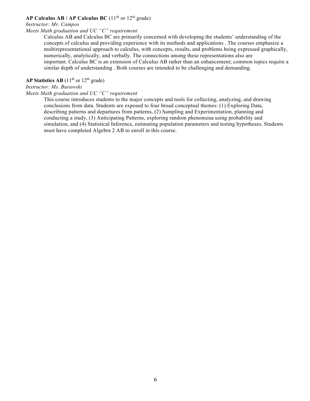#### **AP Calculus AB / AP Calculus BC**  $(11<sup>th</sup>$  or  $12<sup>th</sup>$  grade)

#### *Instructor: Mr. Campos*

#### *Meets Math graduation and UC "C" requirement*

Calculus AB and Calculus BC are primarily concerned with developing the students' understanding of the concepts of calculus and providing experience with its methods and applications . The courses emphasize a multirepresentational approach to calculus, with concepts, results, and problems being expressed graphically, numerically, analytically, and verbally. The connections among these representations also are important. Calculus BC is an extension of Calculus AB rather than an enhancement; common topics require a similar depth of understanding . Both courses are intended to be challenging and demanding.

#### **AP Statistics AB**  $(11<sup>th</sup>$  or  $12<sup>th</sup>$  grade)

#### *Instructor: Ms. Burawski*

#### *Meets Math graduation and UC "C" requirement*

This course introduces students to the major concepts and tools for collecting, analyzing, and drawing conclusions from data. Students are exposed to four broad conceptual themes: (1) Exploring Data, describing patterns and departures from patterns, (2) Sampling and Experimentation, planning and conducting a study, (3) Anticipating Patterns, exploring random phenomena using probability and simulation, and (4) Statistical Inference, estimating population parameters and testing hypotheses. Students must have completed Algebra 2 AB to enroll in this course.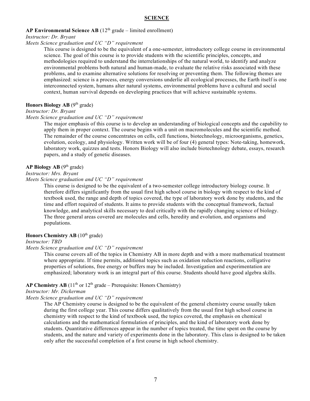#### **AP Environmental Science AB**  $(12<sup>th</sup> \text{ grade} - \text{limited enrollment})$

*Instructor: Dr. Bryant*

#### *Meets Science graduation and UC "D" requirement*

This course is designed to be the equivalent of a one-semester, introductory college course in environmental science. The goal of this course is to provide students with the scientific principles, concepts, and methodologies required to understand the interrelationships of the natural world, to identify and analyze environmental problems both natural and human-made, to evaluate the relative risks associated with these problems, and to examine alternative solutions for resolving or preventing them. The following themes are emphasized: science is a process, energy conversions underlie all ecological processes, the Earth itself is one interconnected system, humans alter natural systems, environmental problems have a cultural and social context, human survival depends on developing practices that will achieve sustainable systems.

#### **Honors Biology AB** (9<sup>th</sup> grade)

#### *Instructor: Dr. Bryant*

#### *Meets Science graduation and UC "D" requirement*

The major emphasis of this course is to develop an understanding of biological concepts and the capability to apply them in proper context. The course begins with a unit on macromolecules and the scientific method. The remainder of the course concentrates on cells, cell functions, biotechnology, microorganisms, genetics, evolution, ecology, and physiology. Written work will be of four (4) general types: Note-taking, homework, laboratory work, quizzes and tests. Honors Biology will also include biotechnology debate, essays, research papers, and a study of genetic diseases.

#### **AP Biology AB**  $(9<sup>th</sup> \text{ grade})$

*Instructor: Mrs. Bryant*

*Meets Science graduation and UC "D" requirement*

This course is designed to be the equivalent of a two-semester college introductory biology course. It therefore differs significantly from the usual first high school course in biology with respect to the kind of textbook used, the range and depth of topics covered, the type of laboratory work done by students, and the time and effort required of students. It aims to provide students with the conceptual framework, factual knowledge, and analytical skills necessary to deal critically with the rapidly changing science of biology. The three general areas covered are molecules and cells, heredity and evolution, and organisms and populations.

#### **Honors Chemistry AB** (10<sup>th</sup> grade)

#### *Instructor: TBD*

#### *Meets Science graduation and UC "D" requirement*

This course covers all of the topics in Chemistry AB in more depth and with a more mathematical treatment where appropriate. If time permits, additional topics such as oxidation reduction reactions, colligative properties of solutions, free energy or buffers may be included. Investigation and experimentation are emphasized; laboratory work is an integral part of this course. Students should have good algebra skills.

#### **AP Chemistry AB**  $(11<sup>th</sup>$  or  $12<sup>th</sup>$  grade – Prerequisite: Honors Chemistry)

#### *Instructor: Mr. Dickerman*

#### *Meets Science graduation and UC "D" requirement*

The AP Chemistry course is designed to be the equivalent of the general chemistry course usually taken during the first college year. This course differs qualitatively from the usual first high school course in chemistry with respect to the kind of textbook used, the topics covered, the emphasis on chemical calculations and the mathematical formulation of principles, and the kind of laboratory work done by students. Quantitative differences appear in the number of topics treated, the time spent on the course by students, and the nature and variety of experiments done in the laboratory. This class is designed to be taken only after the successful completion of a first course in high school chemistry.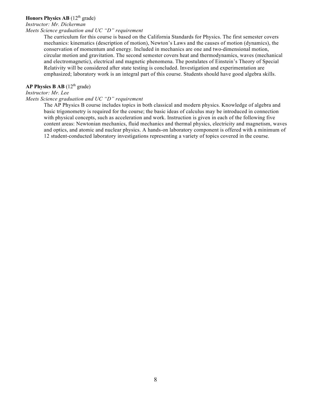#### **Honors Physics AB** (12<sup>th</sup> grade)

#### *Instructor: Mr. Dickerman*

#### *Meets Science graduation and UC "D" requirement*

The curriculum for this course is based on the California Standards for Physics. The first semester covers mechanics: kinematics (description of motion), Newton's Laws and the causes of motion (dynamics), the conservation of momentum and energy. Included in mechanics are one and two-dimensional motion, circular motion and gravitation. The second semester covers heat and thermodynamics, waves (mechanical and electromagnetic), electrical and magnetic phenomena. The postulates of Einstein's Theory of Special Relativity will be considered after state testing is concluded. Investigation and experimentation are emphasized; laboratory work is an integral part of this course. Students should have good algebra skills.

#### AP Physics B AB  $(12<sup>th</sup> \text{ grade})$

#### *Instructor: Mr. Lee*

#### *Meets Science graduation and UC "D" requirement*

The AP Physics B course includes topics in both classical and modern physics. Knowledge of algebra and basic trigonometry is required for the course; the basic ideas of calculus may be introduced in connection with physical concepts, such as acceleration and work. Instruction is given in each of the following five content areas: Newtonian mechanics, fluid mechanics and thermal physics, electricity and magnetism, waves and optics, and atomic and nuclear physics. A hands-on laboratory component is offered with a minimum of 12 student-conducted laboratory investigations representing a variety of topics covered in the course.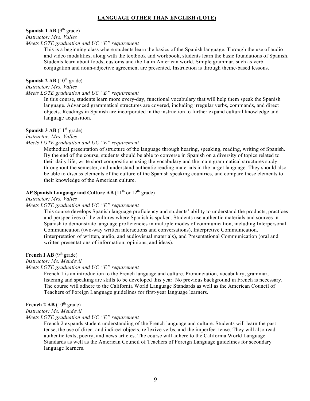#### **LANGUAGE OTHER THAN ENGLISH (LOTE)**

#### **Spanish 1 AB**  $(9<sup>th</sup> \text{ grade})$

#### *Instructor: Mrs. Valles*

#### *Meets LOTE graduation and UC "E" requirement*

This is a beginning class where students learn the basics of the Spanish language. Through the use of audio and video modalities, along with the textbook and workbook, students learn the basic foundations of Spanish. Students learn about foods, customs and the Latin American world. Simple grammar, such as verb conjugation and noun-adjective agreement are presented. Instruction is through theme-based lessons.

#### **Spanish 2 AB**  $(10<sup>th</sup> \text{ grade})$

#### *Instructor: Mrs. Valles*

#### *Meets LOTE graduation and UC "E" requirement*

In this course, students learn more every-day, functional vocabulary that will help them speak the Spanish language. Advanced grammatical structures are covered, including irregular verbs, commands, and direct objects. Readings in Spanish are incorporated in the instruction to further expand cultural knowledge and language acquisition.

#### **Spanish 3 AB**  $(11<sup>th</sup> \text{ grade})$

#### *Instructor: Mrs. Valles*

#### *Meets LOTE graduation and UC "E" requirement*

Methodical presentation of structure of the language through hearing, speaking, reading, writing of Spanish. By the end of the course, students should be able to converse in Spanish on a diversity of topics related to their daily life, write short compositions using the vocabulary and the main grammatical structures study throughout the semester, and understand authentic reading materials in the target language. They should also be able to discuss elements of the culture of the Spanish speaking countries, and compare these elements to their knowledge of the American culture.

#### **AP Spanish Language and Culture AB**  $(11<sup>th</sup>$  or  $12<sup>th</sup>$  grade)

#### *Instructor: Mrs. Valles*

#### *Meets LOTE graduation and UC "E" requirement*

This course develops Spanish language proficiency and students' ability to understand the products, practices and perspectives of the cultures where Spanish is spoken. Students use authentic materials and sources in Spanish to demonstrate language proficiencies in multiple modes of communication, including Interpersonal Communication (two-way written interactions and conversations), Interpretive Communication, (interpretation of written, audio, and audiovisual materials), and Presentational Communication (oral and written presentations of information, opinions, and ideas).

#### **French I AB**  $(9<sup>th</sup> \text{ grade})$

*Instructor: Ms. Mendevil*

#### *Meets LOTE graduation and UC "E" requirement*

French 1 is an introduction to the French language and culture. Pronunciation, vocabulary, grammar, listening and speaking are skills to be developed this year. No previous background in French is necessary. The course will adhere to the California World Language Standards as well as the American Council of Teachers of Foreign Language guidelines for first-year language learners.

#### **French 2 AB**  $(10^{th} \text{ grade})$

#### *Instructor: Ms. Mendevil*

#### *Meets LOTE graduation and UC "E" requirement*

French 2 expands student understanding of the French language and culture. Students will learn the past tense, the use of direct and indirect objects, reflexive verbs, and the imperfect tense. They will also read authentic texts, poetry, and news articles. The course will adhere to the California World Language Standards as well as the American Council of Teachers of Foreign Language guidelines for secondary language learners.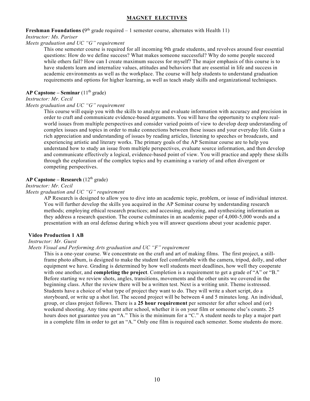#### **MAGNET ELECTIVES**

**Freshman Foundations** ( $9<sup>th</sup>$  grade required – 1 semester course, alternates with Health 11)

*Instructor: Ms. Pariser*

#### *Meets graduation and UC "G" requirement*

This one semester course is required for all incoming 9th grade students, and revolves around four essential questions: How do we define success? What makes someone successful? Why do some people succeed while others fail? How can I create maximum success for myself? The major emphasis of this course is to have students learn and internalize values, attitudes and behaviors that are essential in life and success in academic environments as well as the workplace. The course will help students to understand graduation requirements and options for higher learning, as well as teach study skills and organizational techniques.

#### **AP Capstone – Seminar** (11th grade)

#### *Instructor: Mr. Cecil*

#### *Meets graduation and UC "G" requirement*

This course will equip you with the skills to analyze and evaluate information with accuracy and precision in order to craft and communicate evidence-based arguments. You will have the opportunity to explore realworld issues from multiple perspectives and consider varied points of view to develop deep understanding of complex issues and topics in order to make connections between these issues and your everyday life. Gain a rich appreciation and understanding of issues by reading articles, listening to speeches or broadcasts, and experiencing artistic and literary works. The primary goals of the AP Seminar course are to help you understand how to study an issue from multiple perspectives, evaluate source information, and then develop and communicate effectively a logical, evidence-based point of view. You will practice and apply these skills through the exploration of the complex topics and by examining a variety of and often divergent or competing perspectives.

#### **AP Capstone – Research** (12th grade)

*Instructor: Mr. Cecil*

#### *Meets graduation and UC "G" requirement*

AP Research is designed to allow you to dive into an academic topic, problem, or issue of individual interest. You will further develop the skills you acquired in the AP Seminar course by understanding research methods; employing ethical research practices; and accessing, analyzing, and synthesizing information as they address a research question. The course culminates in an academic paper of 4,000-5,000 words and a presentation with an oral defense during which you will answer questions about your academic paper.

#### **Video Production 1 AB**

#### *Instructor: Mr. Guest*

#### *Meets Visual and Performing Arts graduation and UC "F" requirement*

This is a one-year course. We concentrate on the craft and art of making films. The first project, a stillframe photo album, is designed to make the student feel comfortable with the camera, tripod, dolly, and other equipment we have. Grading is determined by how well students meet deadlines, how well they cooperate with one another, and **completing the project**. Completion is a requirement to get a grade of "A" or "B." Before starting we review shots, angles, transitions, movements and the other units we covered in the beginning class. After the review there will be a written test. Next is a writing unit. Theme isstressed. Students have a choice of what type of project they want to do. They will write a short script, do a storyboard, or write up a shot list. The second project will be between 4 and 5 minutes long. An individual, group, or class project follows. There is a **25 hour requirement** per semester for after school and (or) weekend shooting. Any time spent after school, whether it is on your film or someone else's counts. 25 hours does not guarantee you an "A." This is the minimum for a "C." A student needs to play a major part in a complete film in order to get an "A." Only one film is required each semester. Some students do more.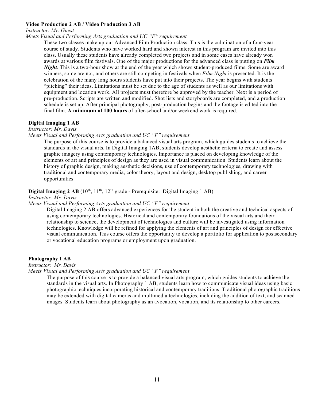#### **Video Production 2 AB / Video Production 3 AB**

*Instructor: Mr. Guest* 

#### *Meets Visual and Performing Arts graduation and UC "F" requirement*

These two classes make up our Advanced Film Production class. This is the culmination of a four-year course of study. Students who have worked hard and shown interest in this program are invited into this class. Usually these students have already completed two projects and in some cases have already won awards at various film festivals. One of the major productions for the advanced class is putting on *Film Night*. This is a two-hour show at the end of the year which shows student-produced films. Some are award winners, some are not, and others are still competing in festivals when *Film Night* is presented. It is the celebration of the many long hours students have put into their projects. The year begins with students "pitching" their ideas. Limitations must be set due to the age of students as well as our limitations with equipment and location work. All projects must therefore be approved by the teacher. Next is a period of pre-production. Scripts are written and modified. Shot lists and storyboards are completed, and a production schedule is set up. After principal photography, post-production begins and the footage is edited into the final film. **A minimum of 100 hours** of after-school and/or weekend work is required.

#### **Digital Imaging 1 AB**

*Instructor: Mr. Davis* 

#### *Meets Visual and Performing Arts graduation and UC "F" requirement*

The purpose of this course is to provide a balanced visual arts program, which guides students to achieve the standards in the visual arts. In Digital Imaging 1AB, students develop aesthetic criteria to create and assess graphic imagery using contemporary technologies. Importance is placed on developing knowledge of the elements of art and principles of design as they are used in visual communication. Students learn about the history of graphic design, making aesthetic decisions, use of contemporary technologies, drawing with traditional and contemporary media, color theory, layout and design, desktop publishing, and career opportunities.

#### **Digital Imaging 2 AB** ( $10^{th}$ ,  $11^{th}$ ,  $12^{th}$  grade - Prerequisite: Digital Imaging 1 AB)

#### *Instructor: Mr. Davis*

#### *Meets Visual and Performing Arts graduation and UC "F" requirement*

Digital Imaging 2 AB offers advanced experiences for the student in both the creative and technical aspects of using contemporary technologies. Historical and contemporary foundations of the visual arts and their relationship to science, the development of technologies and culture will be investigated using information technologies. Knowledge will be refined for applying the elements of art and principles of design for effective visual communication. This course offers the opportunity to develop a portfolio for application to postsecondary or vocational education programs or employment upon graduation.

#### **Photography 1 AB**

*Instructor: Mr. Davis*

*Meets Visual and Performing Arts graduation and UC "F" requirement*

The purpose of this course is to provide a balanced visual arts program, which guides students to achieve the standards in the visual arts. In Photography 1 AB, students learn how to communicate visual ideas using basic photographic techniques incorporating historical and contemporary traditions. Traditional photographic traditions may be extended with digital cameras and multimedia technologies, including the addition of text, and scanned images. Students learn about photography as an avocation, vocation, and its relationship to other careers.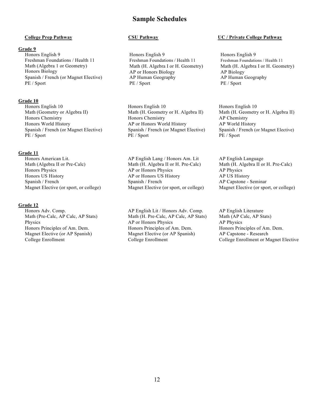## **Sample Schedules**

#### **Grade 9**

Honors English 9 Freshman Foundations / Health 11 Math (Algebra 1 or Geometry) Honors Biology Spanish / French (or Magnet Elective) AP Human Geography AP Human Geography PE / Sport PE / Sport PE / Sport PE / Sport PE / Sport PE / Sport PE / Sport PE / Sport PE / Sport PE / Sport PE / Sport PE / Sport PE / Sport PE / Sport PE / Sport PE / Sport PE / Sport PE / Sport PE / Sport PE / Sport PE

#### **Grade 10**

#### **Grade 11**

Honors American Lit. AP English Lang / Honors Am. Lit AP English Language Math (Algebra II or Pre-Calc) Math (H. Algebra II or H. Pre-Calc) Math (H. Algebra II or H. Pre-Calc)<br>Honors Physics AP Physics AP Physics Honors US History **AP or Honors AP OF History AP US History AP US History** Spanish / French Spanish / French AP Capstone - Seminar

#### **Grade 12**

Honors Adv. Comp. AP English Lit / Honors Adv. Comp. AP English Literature

Honors English 9 Freshman Foundations / Health 11 Math (H. Algebra I or H. Geometry) AP or Honors Biology

Honors English 10 Honors English 10 Honors English 10 Math (Geometry or Algebra II) Math (H. Geometry or H. Algebra II) Math (H. Geometry or H. Algebra II) Honors Chemistry Honors Chemistry AP Chemistry Honors World History AP or Honors World History AP World History Spanish / French (or Magnet Elective) Spanish / French (or Magnet Elective) Spanish / French (or Magnet Elective) PE / Sport PE / Sport PE / Sport PE / Sport PE / Sport

AP or Honors Physics AP Physics

Math (Pre-Calc, AP Calc, AP Stats) Math (H. Pre-Calc, AP Calc, AP Stats) Math (AP Calc, AP Stats) Physics AP or Honors Physics AP Physics AP Physics AP Physics AP Physics AP Physics AP Physics AP Physics AP Physics AP Physics AP Physics AP Physics AP Physics AP Physics AP Physics AP Physics AP Physics AP Physics AP Phy Honors Principles of Am. Dem. Honors Principles of Am. Dem. Honors Principles of Am. Dem. Magnet Elective (or AP Spanish) Magnet Elective (or AP Spanish) AP Capstone - Research

#### **College Prep Pathway CSU Pathway UC / Private College Pathway**

Honors English 9 Freshman Foundations / Health 11 Math (H. Algebra I or H. Geometry) AP Biology

Magnet Elective (or sport, or college) Magnet Elective (or sport, or college) Magnet Elective (or sport, or college)

College Enrollment College Enrollment College Enrollment or Magnet Elective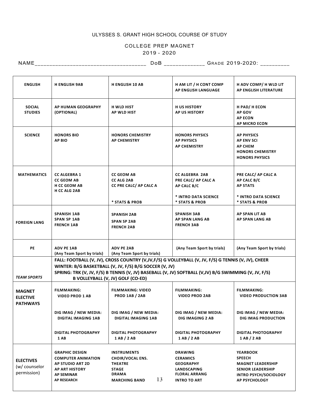#### ULYSSES S. GRANT HIGH SCHOOL COURSE OF STUDY

#### COLLEGE PREP MAGNET 2019 - 2020

NAME\_\_\_\_\_\_\_\_\_\_\_\_\_\_\_\_\_\_\_\_\_\_\_\_\_\_\_\_\_\_\_\_\_\_\_\_\_\_ DoB \_\_\_\_\_\_\_\_\_\_\_\_\_\_ GRA DE 2019-2020: \_\_\_\_\_\_\_\_\_\_

| <b>ENGLISH</b>                                      | <b>H ENGLISH 9AB</b>                                                                                                                                                                                                                                                                                        | <b>H ENGLISH 10 AB</b>                                                                                                        | H AM LIT / H CONT COMP<br>AP ENGLISH LANGUAGE                                                                       | H ADV COMP/H WLD LIT<br>AP ENGLISH LITERATURE                                                                                                    |  |  |
|-----------------------------------------------------|-------------------------------------------------------------------------------------------------------------------------------------------------------------------------------------------------------------------------------------------------------------------------------------------------------------|-------------------------------------------------------------------------------------------------------------------------------|---------------------------------------------------------------------------------------------------------------------|--------------------------------------------------------------------------------------------------------------------------------------------------|--|--|
| <b>SOCIAL</b><br><b>STUDIES</b>                     | AP HUMAN GEOGRAPHY<br>(OPTIONAL)                                                                                                                                                                                                                                                                            | H WLD HIST<br>AP WLD HIST                                                                                                     | <b>H US HISTORY</b><br><b>AP US HISTORY</b>                                                                         | H PAD/ H ECON<br>AP GOV<br><b>AP ECON</b><br>AP MICRO ECON                                                                                       |  |  |
| <b>SCIENCE</b>                                      | <b>HONORS BIO</b><br><b>AP BIO</b>                                                                                                                                                                                                                                                                          | <b>HONORS CHEMISTRY</b><br><b>AP CHEMISTRY</b>                                                                                | <b>HONORS PHYSICS</b><br><b>AP PHYSICS</b><br><b>AP CHEMISTRY</b>                                                   | <b>AP PHYSICS</b><br>AP ENV SCI<br><b>AP CHEM</b><br><b>HONORS CHEMISTRY</b><br><b>HONORS PHYSICS</b>                                            |  |  |
| <b>MATHEMATICS</b>                                  | <b>CC ALGEBRA 1</b><br><b>CC GEOM AB</b><br><b>H CC GEOM AB</b><br><b>H CC ALG 2AB</b>                                                                                                                                                                                                                      | <b>CC GEOM AB</b><br><b>CC ALG 2AB</b><br>CC PRE CALC/ AP CALC A<br>* STATS & PROB                                            | <b>CC ALGEBRA 2AB</b><br>PRE CALC/ AP CALC A<br>AP CALC B/C<br>* INTRO DATA SCIENCE<br>* STATS & PROB               | PRE CALC/ AP CALC A<br>AP CALC B/C<br><b>AP STATS</b><br>* INTRO DATA SCIENCE<br>* STATS & PROB                                                  |  |  |
| <b>FOREIGN LANG</b>                                 | <b>SPANISH 1AB</b><br><b>SPAN SP 1AB</b><br><b>FRENCH 1AB</b>                                                                                                                                                                                                                                               | <b>SPANISH 2AB</b><br><b>SPAN SP 2AB</b><br><b>FRENCH 2AB</b>                                                                 | <b>SPANISH 3AB</b><br>AP SPAN LANG AB<br><b>FRENCH 3AB</b>                                                          | AP SPAN LIT AB<br>AP SPAN LANG AB                                                                                                                |  |  |
| PE                                                  | <b>ADV PE 1AB</b><br>(Any Team Sport by trials)                                                                                                                                                                                                                                                             | <b>ADV PE 2AB</b><br>(Any Team Sport by trials)                                                                               | (Any Team Sport by trials)                                                                                          | (Any Team Sport by trials)                                                                                                                       |  |  |
| <b>TEAM SPORTS</b>                                  | FALL: FOOTBALL (V, JV), CROSS COUNTRY (V, JV, F/S) G VOLLEYBALL (V, JV, F/S) G TENNIS (V, JV), CHEER<br>WINTER: B/G BASKETBALL (V, JV, F/S) B/G SOCCER (V, JV)<br>SPRING: TRK (V, JV, F/S) B TENNIS (V, JV) BASEBALL (V, JV) SOFTBALL (V,JV) B/G SWIMMING (V, JV, F/S)<br>B VOLLEYBALL (V, JV) GOLF (CO-ED) |                                                                                                                               |                                                                                                                     |                                                                                                                                                  |  |  |
| <b>MAGNET</b><br><b>ELECTIVE</b><br><b>PATHWAYS</b> | <b>FILMMAKING:</b><br><b>VIDEO PROD 1 AB</b>                                                                                                                                                                                                                                                                | <b>FILMMAKING: VIDEO</b><br><b>PROD 1AB / 2AB</b>                                                                             | <b>FILMMAKING:</b><br><b>VIDEO PROD 2AB</b>                                                                         | <b>FILMMAKING:</b><br><b>VIDEO PRODUCTION 3AB</b>                                                                                                |  |  |
|                                                     | DIG IMAG / NEW MEDIA:<br><b>DIGITAL IMAGING 1AB</b>                                                                                                                                                                                                                                                         | DIG IMAG / NEW MEDIA:<br><b>DIGITAL IMAGING 1AB</b>                                                                           | DIG IMAG / NEW MEDIA:<br><b>DIG IMAGING 2 AB</b>                                                                    | DIG IMAG / NEW MEDIA:<br><b>DIG IMAG PRODUCTION</b>                                                                                              |  |  |
|                                                     | <b>DIGITAL PHOTOGRAPHY</b><br>1 AB                                                                                                                                                                                                                                                                          | <b>DIGITAL PHOTOGRAPHY</b><br>$1$ AB $/$ 2 AB                                                                                 | <b>DIGITAL PHOTOGRAPHY</b><br>1 AB / 2 AB                                                                           | <b>DIGITAL PHOTOGRAPHY</b><br>1 AB / 2 AB                                                                                                        |  |  |
| <b>ELECTIVES</b><br>(w/ counselor<br>permission)    | <b>GRAPHIC DESIGN</b><br><b>COMPUTER ANIMATION</b><br>AP STUDIO ART 2D<br><b>AP ART HISTORY</b><br><b>AP SEMINAR</b><br><b>AP RESEARCH</b>                                                                                                                                                                  | <b>INSTRUMENTS</b><br><b>CHOIR/VOCAL ENS.</b><br><b>THEATRE</b><br><b>STAGE</b><br><b>DRAMA</b><br>13<br><b>MARCHING BAND</b> | DRAWING<br><b>CERAMICS</b><br><b>GEOGRAPHY</b><br><b>LANDSCAPING</b><br><b>FLORAL ARRANG</b><br><b>INTRO TO ART</b> | <b>YEARBOOK</b><br><b>SPEECH</b><br><b>MAGNET LEADERSHIP</b><br><b>SENIOR LEADERSHIP</b><br><b>INTRO PSYCH/SOCIOLOGY</b><br><b>AP PSYCHOLOGY</b> |  |  |